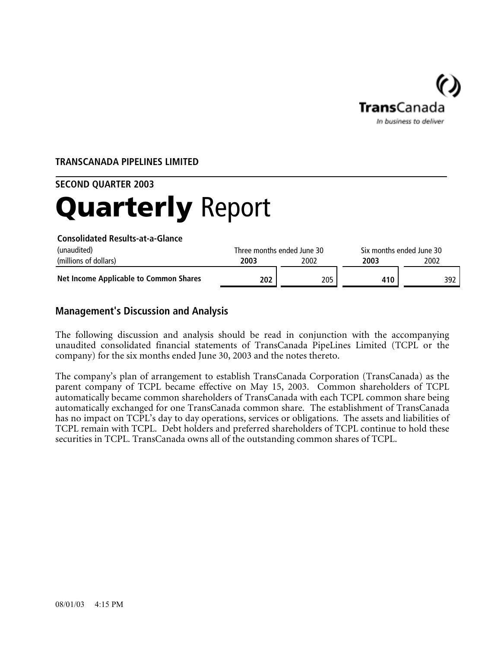

# **TRANSCANADA PIPELINES LIMITED**

#### **SECOND QUARTER 2003**

# Quarterly Report

**Consolidated Results-at-a-Glance**

| (unaudited)                            |      | Three months ended June 30 |     | Six months ended June 30 |
|----------------------------------------|------|----------------------------|-----|--------------------------|
| (millions of dollars)                  | 2003 | 2002                       |     | 2002                     |
| Net Income Applicable to Common Shares | 202  | 205                        | 410 | 392                      |

## **Management's Discussion and Analysis**

The following discussion and analysis should be read in conjunction with the accompanying unaudited consolidated financial statements of TransCanada PipeLines Limited (TCPL or the company) for the six months ended June 30, 2003 and the notes thereto.

The company's plan of arrangement to establish TransCanada Corporation (TransCanada) as the parent company of TCPL became effective on May 15, 2003. Common shareholders of TCPL automatically became common shareholders of TransCanada with each TCPL common share being automatically exchanged for one TransCanada common share. The establishment of TransCanada has no impact on TCPL's day to day operations, services or obligations. The assets and liabilities of TCPL remain with TCPL. Debt holders and preferred shareholders of TCPL continue to hold these securities in TCPL. TransCanada owns all of the outstanding common shares of TCPL.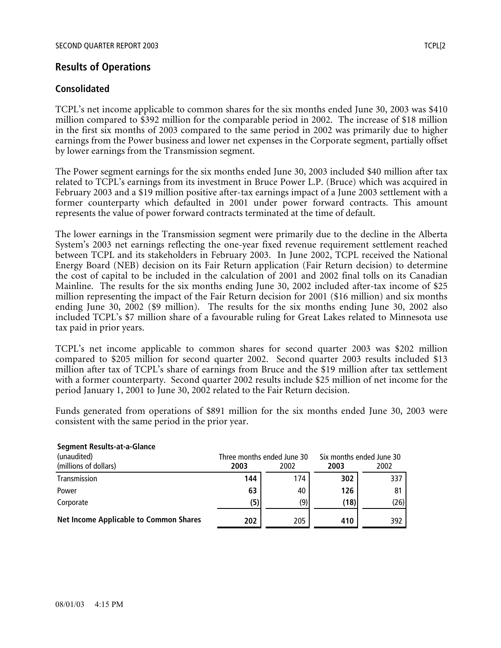# **Results of Operations**

## **Consolidated**

TCPL's net income applicable to common shares for the six months ended June 30, 2003 was \$410 million compared to \$392 million for the comparable period in 2002. The increase of \$18 million in the first six months of 2003 compared to the same period in 2002 was primarily due to higher earnings from the Power business and lower net expenses in the Corporate segment, partially offset by lower earnings from the Transmission segment.

The Power segment earnings for the six months ended June 30, 2003 included \$40 million after tax related to TCPL's earnings from its investment in Bruce Power L.P. (Bruce) which was acquired in February 2003 and a \$19 million positive after-tax earnings impact of a June 2003 settlement with a former counterparty which defaulted in 2001 under power forward contracts. This amount represents the value of power forward contracts terminated at the time of default.

The lower earnings in the Transmission segment were primarily due to the decline in the Alberta System's 2003 net earnings reflecting the one-year fixed revenue requirement settlement reached between TCPL and its stakeholders in February 2003. In June 2002, TCPL received the National Energy Board (NEB) decision on its Fair Return application (Fair Return decision) to determine the cost of capital to be included in the calculation of 2001 and 2002 final tolls on its Canadian Mainline. The results for the six months ending June 30, 2002 included after-tax income of \$25 million representing the impact of the Fair Return decision for 2001 (\$16 million) and six months ending June 30, 2002 (\$9 million). The results for the six months ending June 30, 2002 also included TCPL's \$7 million share of a favourable ruling for Great Lakes related to Minnesota use tax paid in prior years.

TCPL's net income applicable to common shares for second quarter 2003 was \$202 million compared to \$205 million for second quarter 2002. Second quarter 2003 results included \$13 million after tax of TCPL's share of earnings from Bruce and the \$19 million after tax settlement with a former counterparty. Second quarter 2002 results include \$25 million of net income for the period January 1, 2001 to June 30, 2002 related to the Fair Return decision.

Funds generated from operations of \$891 million for the six months ended June 30, 2003 were consistent with the same period in the prior year.

| beginent nesures at a giance                  |      |                            |                          |      |  |
|-----------------------------------------------|------|----------------------------|--------------------------|------|--|
| (unaudited)                                   |      | Three months ended June 30 | Six months ended June 30 |      |  |
| (millions of dollars)                         | 2003 | 2002                       | 2003                     | 2002 |  |
| Transmission                                  | 144  | 174                        | 302                      | 337  |  |
| Power                                         | 63   | 40                         | 126                      | 81   |  |
| Corporate                                     | (5)  | (9)                        | (18)                     | (26) |  |
| <b>Net Income Applicable to Common Shares</b> | 202  | 205                        | 410                      | 392  |  |

## **Segment Results-at-a-Glance**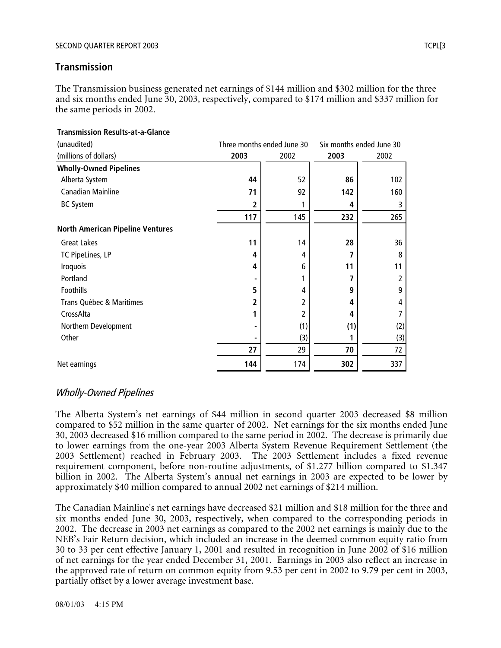## **Transmission**

The Transmission business generated net earnings of \$144 million and \$302 million for the three and six months ended June 30, 2003, respectively, compared to \$174 million and \$337 million for the same periods in 2002.

| (unaudited)                             |      | Three months ended June 30 |      | Six months ended June 30 |
|-----------------------------------------|------|----------------------------|------|--------------------------|
| (millions of dollars)                   | 2003 | 2002                       | 2003 | 2002                     |
| <b>Wholly-Owned Pipelines</b>           |      |                            |      |                          |
| Alberta System                          | 44   | 52                         | 86   | 102                      |
| Canadian Mainline                       | 71   | 92                         | 142  | 160                      |
| <b>BC System</b>                        | 2    |                            | 4    | 3                        |
|                                         | 117  | 145                        | 232  | 265                      |
| <b>North American Pipeline Ventures</b> |      |                            |      |                          |
| <b>Great Lakes</b>                      | 11   | 14                         | 28   | 36                       |
| TC PipeLines, LP                        | 4    | 4                          | 7    | 8                        |
| <b>Iroquois</b>                         | 4    | 6                          | 11   | 11                       |
| Portland                                |      |                            | 7    | 2                        |
| Foothills                               | 5    | 4                          | 9    | 9                        |
| Trans Québec & Maritimes                | 2    | 2                          | 4    | 4                        |
| CrossAlta                               |      | 2                          | 4    | 7                        |
| Northern Development                    |      | (1)                        | (1)  | (2)                      |
| Other                                   |      | (3)                        |      | (3)                      |
|                                         | 27   | 29                         | 70   | 72                       |
| Net earnings                            | 144  | 174                        | 302  | 337                      |

# **Transmission Results-at-a-Glance**

# Wholly-Owned Pipelines

The Alberta System's net earnings of \$44 million in second quarter 2003 decreased \$8 million compared to \$52 million in the same quarter of 2002. Net earnings for the six months ended June 30, 2003 decreased \$16 million compared to the same period in 2002. The decrease is primarily due to lower earnings from the one-year 2003 Alberta System Revenue Requirement Settlement (the 2003 Settlement) reached in February 2003. The 2003 Settlement includes a fixed revenue requirement component, before non-routine adjustments, of \$1.277 billion compared to \$1.347 billion in 2002. The Alberta System's annual net earnings in 2003 are expected to be lower by approximately \$40 million compared to annual 2002 net earnings of \$214 million.

The Canadian Mainline's net earnings have decreased \$21 million and \$18 million for the three and six months ended June 30, 2003, respectively, when compared to the corresponding periods in 2002. The decrease in 2003 net earnings as compared to the 2002 net earnings is mainly due to the NEB's Fair Return decision, which included an increase in the deemed common equity ratio from 30 to 33 per cent effective January 1, 2001 and resulted in recognition in June 2002 of \$16 million of net earnings for the year ended December 31, 2001. Earnings in 2003 also reflect an increase in the approved rate of return on common equity from 9.53 per cent in 2002 to 9.79 per cent in 2003, partially offset by a lower average investment base.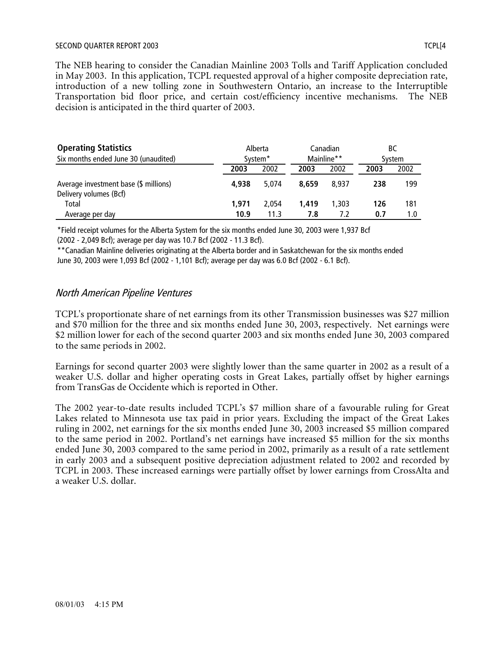#### SECOND QUARTER REPORT 2003 TERM IN 1999 TO A 1999 TO A 1999 TO A 1999 TO A 1999 TO A 1999 TO A 1999 TO A 1999 TO A 1999 TO A 1999 TO A 1999 TO A 1999 TO A 1999 TO A 1999 TO A 1999 TO A 1999 TO A 1999 TO A 1999 TO A 1999 TO

The NEB hearing to consider the Canadian Mainline 2003 Tolls and Tariff Application concluded in May 2003. In this application, TCPL requested approval of a higher composite depreciation rate, introduction of a new tolling zone in Southwestern Ontario, an increase to the Interruptible Transportation bid floor price, and certain cost/efficiency incentive mechanisms. The NEB decision is anticipated in the third quarter of 2003.

| <b>Operating Statistics</b><br>Six months ended June 30 (unaudited) | Alberta<br>System <sup>*</sup> |       | Canadian<br>Mainline** |       | BС<br>System |      |
|---------------------------------------------------------------------|--------------------------------|-------|------------------------|-------|--------------|------|
|                                                                     | 2003                           | 2002  | 2003                   | 2002  | 2003         | 2002 |
| Average investment base (\$ millions)<br>Delivery volumes (Bcf)     | 4.938                          | 5.074 | 8.659                  | 8.937 | 238          | 199  |
| Total                                                               | 1.971                          | 2.054 | 1.419                  | 1.303 | 126          | 181  |
| Average per day                                                     | 10.9                           | 11.3  | 7.8                    | 7.2   | 0.7          | 1.0  |

\*Field receipt volumes for the Alberta System for the six months ended June 30, 2003 were 1,937 Bcf (2002 - 2,049 Bcf); average per day was 10.7 Bcf (2002 - 11.3 Bcf).

\*\*Canadian Mainline deliveries originating at the Alberta border and in Saskatchewan for the six months ended June 30, 2003 were 1,093 Bcf (2002 - 1,101 Bcf); average per day was 6.0 Bcf (2002 - 6.1 Bcf).

#### North American Pipeline Ventures

TCPL's proportionate share of net earnings from its other Transmission businesses was \$27 million and \$70 million for the three and six months ended June 30, 2003, respectively. Net earnings were \$2 million lower for each of the second quarter 2003 and six months ended June 30, 2003 compared to the same periods in 2002.

Earnings for second quarter 2003 were slightly lower than the same quarter in 2002 as a result of a weaker U.S. dollar and higher operating costs in Great Lakes, partially offset by higher earnings from TransGas de Occidente which is reported in Other.

The 2002 year-to-date results included TCPL's \$7 million share of a favourable ruling for Great Lakes related to Minnesota use tax paid in prior years. Excluding the impact of the Great Lakes ruling in 2002, net earnings for the six months ended June 30, 2003 increased \$5 million compared to the same period in 2002. Portland's net earnings have increased \$5 million for the six months ended June 30, 2003 compared to the same period in 2002, primarily as a result of a rate settlement in early 2003 and a subsequent positive depreciation adjustment related to 2002 and recorded by TCPL in 2003. These increased earnings were partially offset by lower earnings from CrossAlta and a weaker U.S. dollar.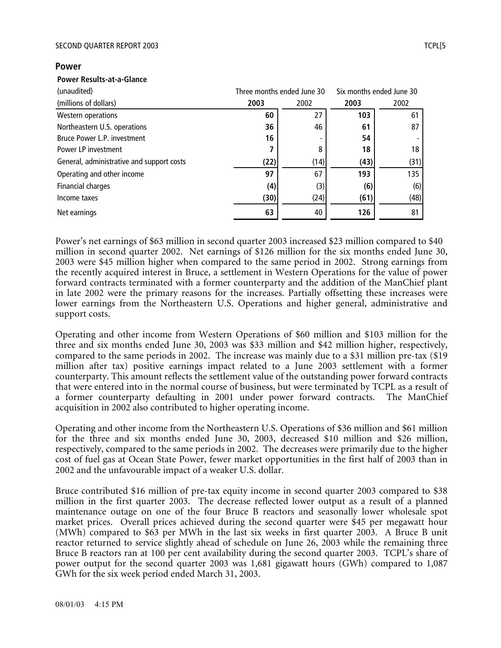#### SECOND QUARTER REPORT 2003 TERMS AND THE SECOND QUARTER REPORT 2003

#### **Power**

#### **Power Results-at-a-Glance**

| (unaudited)                               |      | Three months ended June 30 |      | Six months ended June 30 |
|-------------------------------------------|------|----------------------------|------|--------------------------|
| (millions of dollars)                     | 2003 | 2002                       | 2003 | 2002                     |
| Western operations                        | 60   | 27                         | 103  | 61                       |
| Northeastern U.S. operations              | 36   | 46                         | 61   | 87                       |
| Bruce Power L.P. investment               | 16   |                            | 54   |                          |
| Power LP investment                       | 7    | 8                          | 18   | 18                       |
| General, administrative and support costs | (22) | (14)                       | (43) | (31)                     |
| Operating and other income                | 97   | 67                         | 193  | 135                      |
| Financial charges                         | (4)  | (3)                        | (6)  | (6)                      |
| Income taxes                              | (30) | (24)                       | (61) | (48)                     |
| Net earnings                              | 63   | 40                         | 126  | 81                       |

Power's net earnings of \$63 million in second quarter 2003 increased \$23 million compared to \$40 million in second quarter 2002. Net earnings of \$126 million for the six months ended June 30, 2003 were \$45 million higher when compared to the same period in 2002. Strong earnings from the recently acquired interest in Bruce, a settlement in Western Operations for the value of power forward contracts terminated with a former counterparty and the addition of the ManChief plant in late 2002 were the primary reasons for the increases. Partially offsetting these increases were lower earnings from the Northeastern U.S. Operations and higher general, administrative and support costs.

Operating and other income from Western Operations of \$60 million and \$103 million for the three and six months ended June 30, 2003 was \$33 million and \$42 million higher, respectively, compared to the same periods in 2002. The increase was mainly due to a \$31 million pre-tax (\$19 million after tax) positive earnings impact related to a June 2003 settlement with a former counterparty. This amount reflects the settlement value of the outstanding power forward contracts that were entered into in the normal course of business, but were terminated by TCPL as a result of a former counterparty defaulting in 2001 under power forward contracts. The ManChief acquisition in 2002 also contributed to higher operating income.

Operating and other income from the Northeastern U.S. Operations of \$36 million and \$61 million for the three and six months ended June 30, 2003, decreased \$10 million and \$26 million, respectively, compared to the same periods in 2002. The decreases were primarily due to the higher cost of fuel gas at Ocean State Power, fewer market opportunities in the first half of 2003 than in 2002 and the unfavourable impact of a weaker U.S. dollar.

Bruce contributed \$16 million of pre-tax equity income in second quarter 2003 compared to \$38 million in the first quarter 2003. The decrease reflected lower output as a result of a planned maintenance outage on one of the four Bruce B reactors and seasonally lower wholesale spot market prices. Overall prices achieved during the second quarter were \$45 per megawatt hour (MWh) compared to \$63 per MWh in the last six weeks in first quarter 2003. A Bruce B unit reactor returned to service slightly ahead of schedule on June 26, 2003 while the remaining three Bruce B reactors ran at 100 per cent availability during the second quarter 2003. TCPL's share of power output for the second quarter 2003 was 1,681 gigawatt hours (GWh) compared to 1,087 GWh for the six week period ended March 31, 2003.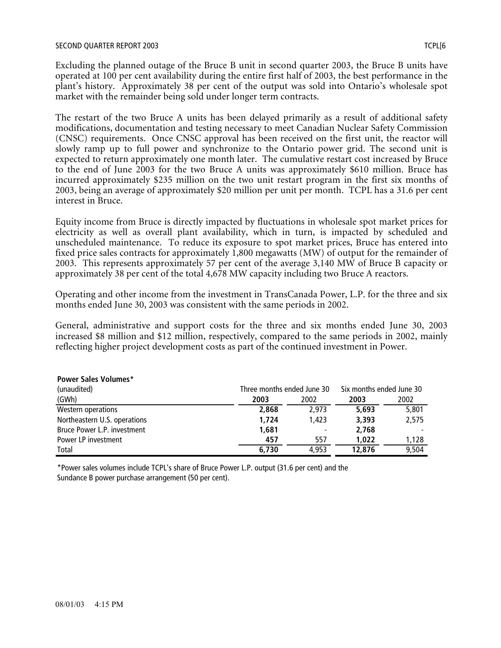Excluding the planned outage of the Bruce B unit in second quarter 2003, the Bruce B units have operated at 100 per cent availability during the entire first half of 2003, the best performance in the plant's history. Approximately 38 per cent of the output was sold into Ontario's wholesale spot market with the remainder being sold under longer term contracts.

The restart of the two Bruce A units has been delayed primarily as a result of additional safety modifications, documentation and testing necessary to meet Canadian Nuclear Safety Commission (CNSC) requirements. Once CNSC approval has been received on the first unit, the reactor will slowly ramp up to full power and synchronize to the Ontario power grid. The second unit is expected to return approximately one month later. The cumulative restart cost increased by Bruce to the end of June 2003 for the two Bruce A units was approximately \$610 million. Bruce has incurred approximately \$235 million on the two unit restart program in the first six months of 2003, being an average of approximately \$20 million per unit per month. TCPL has a 31.6 per cent interest in Bruce.

Equity income from Bruce is directly impacted by fluctuations in wholesale spot market prices for electricity as well as overall plant availability, which in turn, is impacted by scheduled and unscheduled maintenance. To reduce its exposure to spot market prices, Bruce has entered into fixed price sales contracts for approximately 1,800 megawatts (MW) of output for the remainder of 2003. This represents approximately 57 per cent of the average 3,140 MW of Bruce B capacity or approximately 38 per cent of the total 4,678 MW capacity including two Bruce A reactors.

Operating and other income from the investment in TransCanada Power, L.P. for the three and six months ended June 30, 2003 was consistent with the same periods in 2002.

General, administrative and support costs for the three and six months ended June 30, 2003 increased \$8 million and \$12 million, respectively, compared to the same periods in 2002, mainly reflecting higher project development costs as part of the continued investment in Power.

| <b>Power Sales Volumes*</b>  |                            |                          |                          |       |  |
|------------------------------|----------------------------|--------------------------|--------------------------|-------|--|
| (unaudited)                  | Three months ended June 30 |                          | Six months ended June 30 |       |  |
| (GWh)                        | 2003                       | 2002                     | 2003                     | 2002  |  |
| Western operations           | 2,868                      | 2.973                    | 5,693                    | 5,801 |  |
| Northeastern U.S. operations | 1,724                      | 1.423                    | 3,393                    | 2,575 |  |
| Bruce Power L.P. investment  | 1,681                      | $\overline{\phantom{a}}$ | 2.768                    |       |  |
| Power LP investment          | 457                        | 557                      | 1,022                    | 1.128 |  |
| Total                        | 6.730                      | 4.953                    | 12,876                   | 9.504 |  |

\*Power sales volumes include TCPL's share of Bruce Power L.P. output (31.6 per cent) and the Sundance B power purchase arrangement (50 per cent).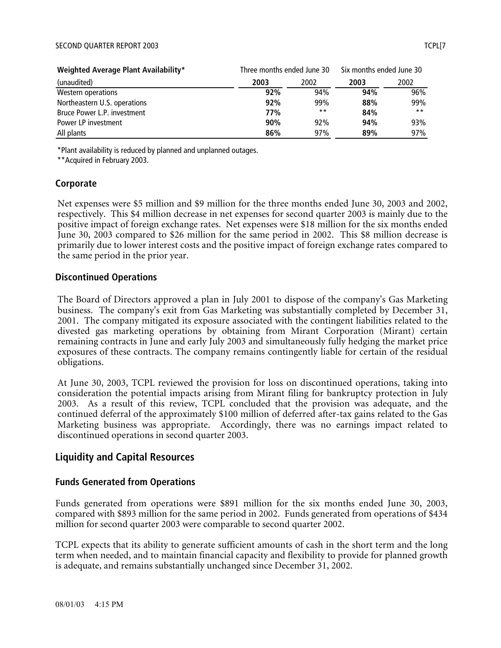#### SECOND QUARTER REPORT 2003 TERM IN 1999 TO A 1999 TO A 1999 TO A 1999 TO A 1999 TO A 1999 TO A 1999 TO A 1999 TO A 1999 TO A 1999 TO A 1999 TO A 1999 TO A 1999 TO A 1999 TO A 1999 TO A 1999 TO A 1999 TO A 1999 TO A 1999 TO

| Weighted Average Plant Availability* | Three months ended June 30 |       | Six months ended June 30 |       |  |
|--------------------------------------|----------------------------|-------|--------------------------|-------|--|
| (unaudited)                          | 2003                       | 2002  | 2003                     | 2002  |  |
| Western operations                   | 92%                        | 94%   | 94%                      | 96%   |  |
| Northeastern U.S. operations         | 92%                        | 99%   | 88%                      | 99%   |  |
| Bruce Power L.P. investment          | 77%                        | $***$ | 84%                      | $***$ |  |
| Power LP investment                  | 90%                        | 92%   | 94%                      | 93%   |  |
| All plants                           | 86%                        | 97%   | 89%                      | 97%   |  |

\*Plant availability is reduced by planned and unplanned outages.

\*\*Acquired in February 2003.

#### **Corporate**

Net expenses were \$5 million and \$9 million for the three months ended June 30, 2003 and 2002, respectively. This \$4 million decrease in net expenses for second quarter 2003 is mainly due to the positive impact of foreign exchange rates. Net expenses were \$18 million for the six months ended June 30, 2003 compared to \$26 million for the same period in 2002. This \$8 million decrease is primarily due to lower interest costs and the positive impact of foreign exchange rates compared to the same period in the prior year.

#### **Discontinued Operations**

The Board of Directors approved a plan in July 2001 to dispose of the company's Gas Marketing business. The company's exit from Gas Marketing was substantially completed by December 31, 2001. The company mitigated its exposure associated with the contingent liabilities related to the divested gas marketing operations by obtaining from Mirant Corporation (Mirant) certain remaining contracts in June and early July 2003 and simultaneously fully hedging the market price exposures of these contracts. The company remains contingently liable for certain of the residual obligations.

At June 30, 2003, TCPL reviewed the provision for loss on discontinued operations, taking into consideration the potential impacts arising from Mirant filing for bankruptcy protection in July 2003. As a result of this review, TCPL concluded that the provision was adequate, and the continued deferral of the approximately \$100 million of deferred after-tax gains related to the Gas Marketing business was appropriate. Accordingly, there was no earnings impact related to discontinued operations in second quarter 2003.

#### **Liquidity and Capital Resources**

#### **Funds Generated from Operations**

Funds generated from operations were \$891 million for the six months ended June 30, 2003, compared with \$893 million for the same period in 2002. Funds generated from operations of \$434 million for second quarter 2003 were comparable to second quarter 2002.

TCPL expects that its ability to generate sufficient amounts of cash in the short term and the long term when needed, and to maintain financial capacity and flexibility to provide for planned growth is adequate, and remains substantially unchanged since December 31, 2002.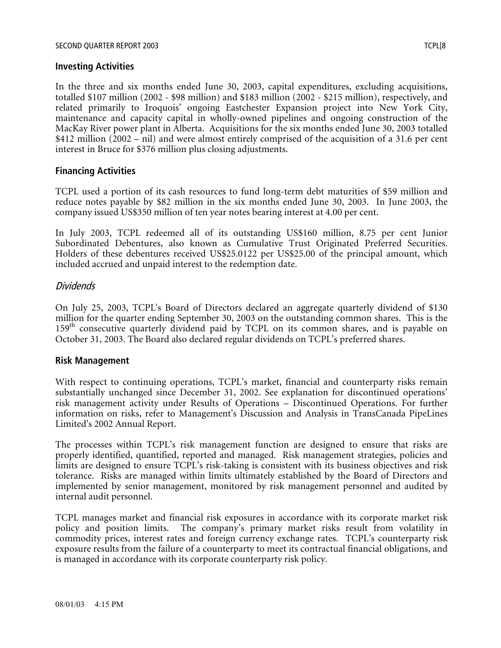#### SECOND QUARTER REPORT 2003 TCPL[8

In the three and six months ended June 30, 2003, capital expenditures, excluding acquisitions, totalled \$107 million (2002 - \$98 million) and \$183 million (2002 - \$215 million), respectively, and related primarily to Iroquois' ongoing Eastchester Expansion project into New York City, maintenance and capacity capital in wholly-owned pipelines and ongoing construction of the MacKay River power plant in Alberta. Acquisitions for the six months ended June 30, 2003 totalled \$412 million (2002 – nil) and were almost entirely comprised of the acquisition of a 31.6 per cent interest in Bruce for \$376 million plus closing adjustments.

#### **Financing Activities**

TCPL used a portion of its cash resources to fund long-term debt maturities of \$59 million and reduce notes payable by \$82 million in the six months ended June 30, 2003. In June 2003, the company issued US\$350 million of ten year notes bearing interest at 4.00 per cent.

In July 2003, TCPL redeemed all of its outstanding US\$160 million, 8.75 per cent Junior Subordinated Debentures, also known as Cumulative Trust Originated Preferred Securities. Holders of these debentures received US\$25.0122 per US\$25.00 of the principal amount, which included accrued and unpaid interest to the redemption date.

## Dividends

On July 25, 2003, TCPL's Board of Directors declared an aggregate quarterly dividend of \$130 million for the quarter ending September 30, 2003 on the outstanding common shares. This is the 159<sup>th</sup> consecutive quarterly dividend paid by TCPL on its common shares, and is payable on October 31, 2003. The Board also declared regular dividends on TCPL's preferred shares.

#### **Risk Management**

With respect to continuing operations, TCPL's market, financial and counterparty risks remain substantially unchanged since December 31, 2002. See explanation for discontinued operations' risk management activity under Results of Operations – Discontinued Operations. For further information on risks, refer to Management's Discussion and Analysis in TransCanada PipeLines Limited's 2002 Annual Report.

The processes within TCPL's risk management function are designed to ensure that risks are properly identified, quantified, reported and managed. Risk management strategies, policies and limits are designed to ensure TCPL's risk-taking is consistent with its business objectives and risk tolerance. Risks are managed within limits ultimately established by the Board of Directors and implemented by senior management, monitored by risk management personnel and audited by internal audit personnel.

TCPL manages market and financial risk exposures in accordance with its corporate market risk policy and position limits. The company's primary market risks result from volatility in commodity prices, interest rates and foreign currency exchange rates. TCPL's counterparty risk exposure results from the failure of a counterparty to meet its contractual financial obligations, and is managed in accordance with its corporate counterparty risk policy.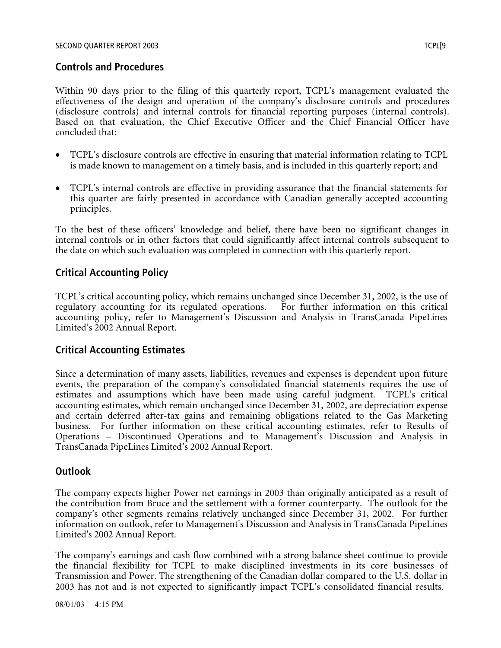## **Controls and Procedures**

Within 90 days prior to the filing of this quarterly report, TCPL's management evaluated the effectiveness of the design and operation of the company's disclosure controls and procedures (disclosure controls) and internal controls for financial reporting purposes (internal controls). Based on that evaluation, the Chief Executive Officer and the Chief Financial Officer have concluded that:

- TCPL's disclosure controls are effective in ensuring that material information relating to TCPL is made known to management on a timely basis, and is included in this quarterly report; and
- TCPL's internal controls are effective in providing assurance that the financial statements for this quarter are fairly presented in accordance with Canadian generally accepted accounting principles.

To the best of these officers' knowledge and belief, there have been no significant changes in internal controls or in other factors that could significantly affect internal controls subsequent to the date on which such evaluation was completed in connection with this quarterly report.

## **Critical Accounting Policy**

TCPL's critical accounting policy, which remains unchanged since December 31, 2002, is the use of regulatory accounting for its regulated operations. For further information on this critical accounting policy, refer to Management's Discussion and Analysis in TransCanada PipeLines Limited's 2002 Annual Report.

## **Critical Accounting Estimates**

Since a determination of many assets, liabilities, revenues and expenses is dependent upon future events, the preparation of the company's consolidated financial statements requires the use of estimates and assumptions which have been made using careful judgment. TCPL's critical accounting estimates, which remain unchanged since December 31, 2002, are depreciation expense and certain deferred after-tax gains and remaining obligations related to the Gas Marketing business. For further information on these critical accounting estimates, refer to Results of Operations – Discontinued Operations and to Management's Discussion and Analysis in TransCanada PipeLines Limited's 2002 Annual Report.

## **Outlook**

The company expects higher Power net earnings in 2003 than originally anticipated as a result of the contribution from Bruce and the settlement with a former counterparty. The outlook for the company's other segments remains relatively unchanged since December 31, 2002. For further information on outlook, refer to Management's Discussion and Analysis in TransCanada PipeLines Limited's 2002 Annual Report.

The company's earnings and cash flow combined with a strong balance sheet continue to provide the financial flexibility for TCPL to make disciplined investments in its core businesses of Transmission and Power. The strengthening of the Canadian dollar compared to the U.S. dollar in 2003 has not and is not expected to significantly impact TCPL's consolidated financial results.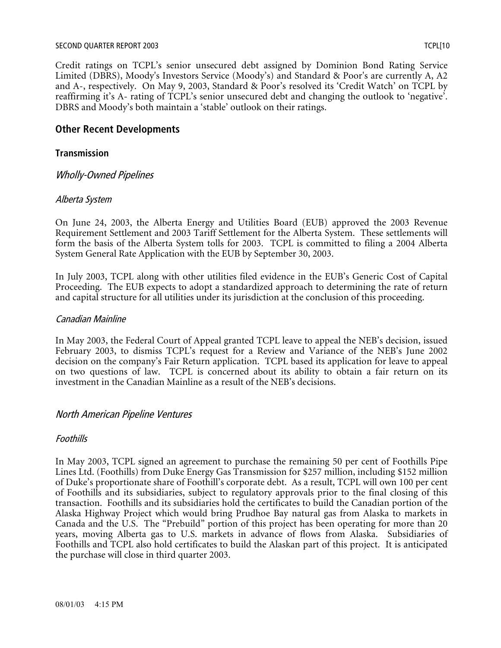#### SECOND QUARTER REPORT 2003 TCPL[10

Credit ratings on TCPL's senior unsecured debt assigned by Dominion Bond Rating Service Limited (DBRS), Moody's Investors Service (Moody's) and Standard & Poor's are currently A, A2 and A-, respectively. On May 9, 2003, Standard & Poor's resolved its 'Credit Watch' on TCPL by reaffirming it's A- rating of TCPL's senior unsecured debt and changing the outlook to 'negative'. DBRS and Moody's both maintain a 'stable' outlook on their ratings.

## **Other Recent Developments**

#### **Transmission**

Wholly-Owned Pipelines

#### Alberta System

On June 24, 2003, the Alberta Energy and Utilities Board (EUB) approved the 2003 Revenue Requirement Settlement and 2003 Tariff Settlement for the Alberta System. These settlements will form the basis of the Alberta System tolls for 2003. TCPL is committed to filing a 2004 Alberta System General Rate Application with the EUB by September 30, 2003.

In July 2003, TCPL along with other utilities filed evidence in the EUB's Generic Cost of Capital Proceeding. The EUB expects to adopt a standardized approach to determining the rate of return and capital structure for all utilities under its jurisdiction at the conclusion of this proceeding.

#### Canadian Mainline

In May 2003, the Federal Court of Appeal granted TCPL leave to appeal the NEB's decision, issued February 2003, to dismiss TCPL's request for a Review and Variance of the NEB's June 2002 decision on the company's Fair Return application. TCPL based its application for leave to appeal on two questions of law. TCPL is concerned about its ability to obtain a fair return on its investment in the Canadian Mainline as a result of the NEB's decisions.

#### North American Pipeline Ventures

#### Foothills

In May 2003, TCPL signed an agreement to purchase the remaining 50 per cent of Foothills Pipe Lines Ltd. (Foothills) from Duke Energy Gas Transmission for \$257 million, including \$152 million of Duke's proportionate share of Foothill's corporate debt. As a result, TCPL will own 100 per cent of Foothills and its subsidiaries, subject to regulatory approvals prior to the final closing of this transaction. Foothills and its subsidiaries hold the certificates to build the Canadian portion of the Alaska Highway Project which would bring Prudhoe Bay natural gas from Alaska to markets in Canada and the U.S. The "Prebuild" portion of this project has been operating for more than 20 years, moving Alberta gas to U.S. markets in advance of flows from Alaska. Subsidiaries of Foothills and TCPL also hold certificates to build the Alaskan part of this project. It is anticipated the purchase will close in third quarter 2003.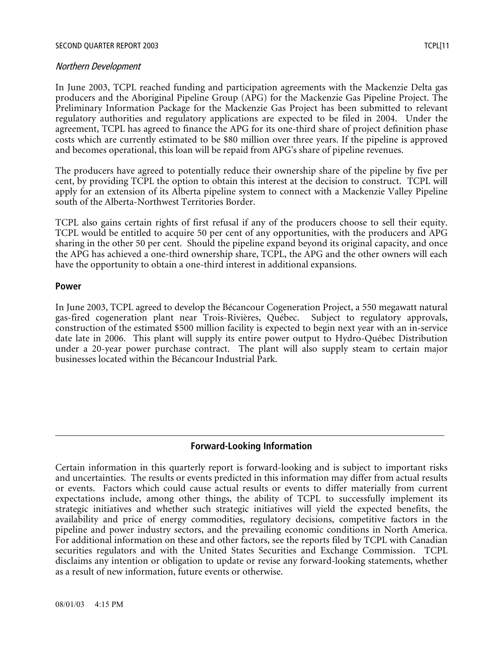#### SECOND QUARTER REPORT 2003 TO A 2003 TO A 2004 TO A 2004 TO A 2004 TO A 2004 TO A 2004 TO A 2004 TO A 2004 TO A

#### Northern Development

In June 2003, TCPL reached funding and participation agreements with the Mackenzie Delta gas producers and the Aboriginal Pipeline Group (APG) for the Mackenzie Gas Pipeline Project. The Preliminary Information Package for the Mackenzie Gas Project has been submitted to relevant regulatory authorities and regulatory applications are expected to be filed in 2004. Under the agreement, TCPL has agreed to finance the APG for its one-third share of project definition phase costs which are currently estimated to be \$80 million over three years. If the pipeline is approved and becomes operational, this loan will be repaid from APG's share of pipeline revenues.

The producers have agreed to potentially reduce their ownership share of the pipeline by five per cent, by providing TCPL the option to obtain this interest at the decision to construct. TCPL will apply for an extension of its Alberta pipeline system to connect with a Mackenzie Valley Pipeline south of the Alberta-Northwest Territories Border.

TCPL also gains certain rights of first refusal if any of the producers choose to sell their equity. TCPL would be entitled to acquire 50 per cent of any opportunities, with the producers and APG sharing in the other 50 per cent. Should the pipeline expand beyond its original capacity, and once the APG has achieved a one-third ownership share, TCPL, the APG and the other owners will each have the opportunity to obtain a one-third interest in additional expansions.

#### **Power**

In June 2003, TCPL agreed to develop the Bécancour Cogeneration Project, a 550 megawatt natural gas-fired cogeneration plant near Trois-Rivières, Québec. Subject to regulatory approvals, construction of the estimated \$500 million facility is expected to begin next year with an in-service date late in 2006. This plant will supply its entire power output to Hydro-Québec Distribution under a 20-year power purchase contract. The plant will also supply steam to certain major businesses located within the Bécancour Industrial Park.

## **Forward-Looking Information**

Certain information in this quarterly report is forward-looking and is subject to important risks and uncertainties. The results or events predicted in this information may differ from actual results or events. Factors which could cause actual results or events to differ materially from current expectations include, among other things, the ability of TCPL to successfully implement its strategic initiatives and whether such strategic initiatives will yield the expected benefits, the availability and price of energy commodities, regulatory decisions, competitive factors in the pipeline and power industry sectors, and the prevailing economic conditions in North America. For additional information on these and other factors, see the reports filed by TCPL with Canadian securities regulators and with the United States Securities and Exchange Commission. TCPL disclaims any intention or obligation to update or revise any forward-looking statements, whether as a result of new information, future events or otherwise.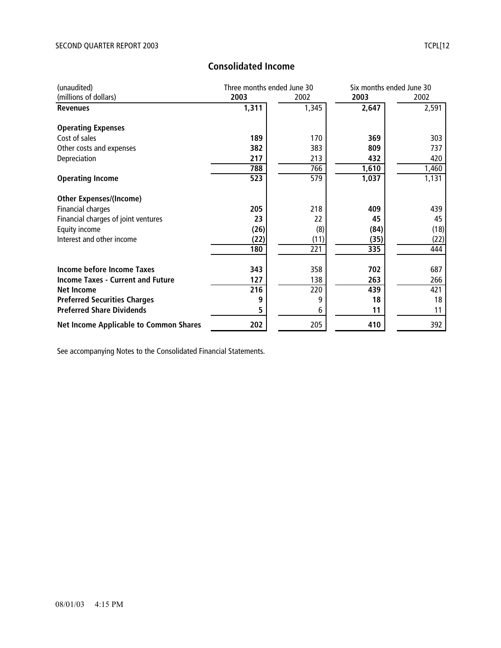| (unaudited)                                   | Three months ended June 30 |       | Six months ended June 30 |       |
|-----------------------------------------------|----------------------------|-------|--------------------------|-------|
| (millions of dollars)                         | 2003                       | 2002  | 2003                     | 2002  |
| <b>Revenues</b>                               | 1,311                      | 1,345 | 2,647                    | 2,591 |
| <b>Operating Expenses</b>                     |                            |       |                          |       |
| Cost of sales                                 | 189                        | 170   | 369                      | 303   |
| Other costs and expenses                      | 382                        | 383   | 809                      | 737   |
| Depreciation                                  | 217                        | 213   | 432                      | 420   |
|                                               | 788                        | 766   | 1,610                    | 1,460 |
| <b>Operating Income</b>                       | 523                        | 579   | 1,037                    | 1,131 |
| <b>Other Expenses/(Income)</b>                |                            |       |                          |       |
| <b>Financial charges</b>                      | 205                        | 218   | 409                      | 439   |
| Financial charges of joint ventures           | 23                         | 22    | 45                       | 45    |
| Equity income                                 | (26)                       | (8)   | (84)                     | (18)  |
| Interest and other income                     | (22)                       | (11)  | (35)                     | (22)  |
|                                               | 180                        | 221   | 335                      | 444   |
| Income before Income Taxes                    | 343                        | 358   | 702                      | 687   |
| <b>Income Taxes - Current and Future</b>      | 127                        | 138   | 263                      | 266   |
| Net Income                                    | 216                        | 220   | 439                      | 421   |
| <b>Preferred Securities Charges</b>           | 9                          | 9     | 18                       | 18    |
| <b>Preferred Share Dividends</b>              |                            | 6     | 11                       | 11    |
| <b>Net Income Applicable to Common Shares</b> | 202                        | 205   | 410                      | 392   |

# **Consolidated Income**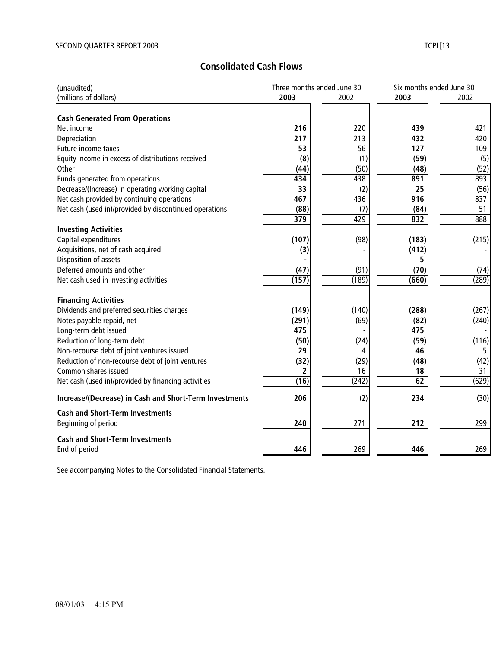# **Consolidated Cash Flows**

| (unaudited)                                            | Three months ended June 30 |       |       | Six months ended June 30 |
|--------------------------------------------------------|----------------------------|-------|-------|--------------------------|
| (millions of dollars)                                  | 2003                       | 2002  | 2003  | 2002                     |
|                                                        |                            |       |       |                          |
| <b>Cash Generated From Operations</b>                  |                            |       |       |                          |
| Net income                                             | 216                        | 220   | 439   | 421                      |
| Depreciation                                           | 217                        | 213   | 432   | 420                      |
| Future income taxes                                    | 53                         | 56    | 127   | 109                      |
| Equity income in excess of distributions received      | (8)                        | (1)   | (59)  | (5)                      |
| Other                                                  | (44)                       | (50)  | (48)  | (52)                     |
| Funds generated from operations                        | 434                        | 438   | 891   | 893                      |
| Decrease/(Increase) in operating working capital       | 33                         | (2)   | 25    | (56)                     |
| Net cash provided by continuing operations             | 467                        | 436   | 916   | 837                      |
| Net cash (used in)/provided by discontinued operations | (88)                       | (7)   | (84)  | 51                       |
|                                                        | 379                        | 429   | 832   | 888                      |
| <b>Investing Activities</b>                            |                            |       |       |                          |
| Capital expenditures                                   | (107)                      | (98)  | (183) | (215)                    |
| Acquisitions, net of cash acquired                     | (3)                        |       | (412) |                          |
| Disposition of assets                                  |                            |       | 5     |                          |
| Deferred amounts and other                             | (47)                       | (91)  | (70)  | (74)                     |
| Net cash used in investing activities                  | (157)                      | (189) | (660) | (289)                    |
|                                                        |                            |       |       |                          |
| <b>Financing Activities</b>                            |                            |       |       |                          |
| Dividends and preferred securities charges             | (149)                      | (140) | (288) | (267)                    |
| Notes payable repaid, net                              | (291)                      | (69)  | (82)  | (240)                    |
| Long-term debt issued                                  | 475                        |       | 475   |                          |
| Reduction of long-term debt                            | (50)                       | (24)  | (59)  | (116)                    |
| Non-recourse debt of joint ventures issued             | 29                         | 4     | 46    | 5                        |
| Reduction of non-recourse debt of joint ventures       | (32)                       | (29)  | (48)  | (42)                     |
| Common shares issued                                   | 2                          | 16    | 18    | 31                       |
| Net cash (used in)/provided by financing activities    | (16)                       | (242) | 62    | (629)                    |
| Increase/(Decrease) in Cash and Short-Term Investments | 206                        | (2)   | 234   | (30)                     |
| <b>Cash and Short-Term Investments</b>                 |                            |       |       |                          |
| Beginning of period                                    | 240                        | 271   | 212   | 299                      |
|                                                        |                            |       |       |                          |
| <b>Cash and Short-Term Investments</b>                 |                            |       |       |                          |
| End of period                                          | 446                        | 269   | 446   | 269                      |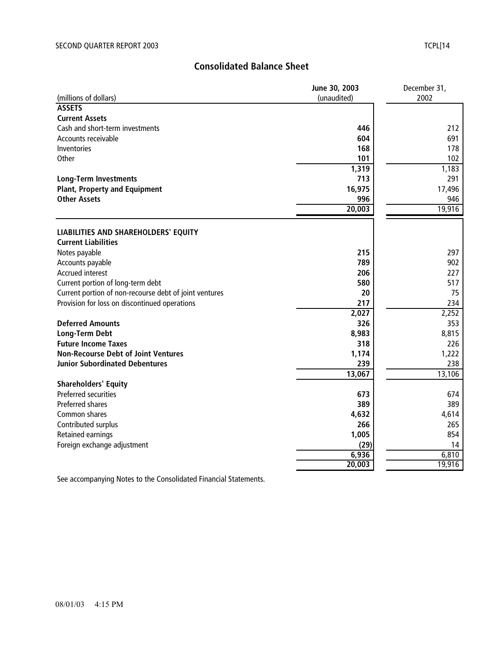# **Consolidated Balance Sheet**

|                                                        | June 30, 2003 | December 31, |
|--------------------------------------------------------|---------------|--------------|
| (millions of dollars)                                  | (unaudited)   | 2002         |
| <b>ASSETS</b>                                          |               |              |
| <b>Current Assets</b>                                  |               |              |
| Cash and short-term investments                        | 446           | 212          |
| Accounts receivable                                    | 604           | 691          |
| Inventories                                            | 168           | 178          |
| Other                                                  | 101           | 102          |
|                                                        | 1,319         | 1,183        |
| <b>Long-Term Investments</b>                           | 713           | 291          |
| <b>Plant, Property and Equipment</b>                   | 16,975        | 17,496       |
| <b>Other Assets</b>                                    | 996           | 946          |
|                                                        | 20,003        | 19,916       |
|                                                        |               |              |
| LIABILITIES AND SHAREHOLDERS' EQUITY                   |               |              |
| <b>Current Liabilities</b>                             |               |              |
| Notes payable                                          | 215           | 297          |
| Accounts payable                                       | 789           | 902          |
| Accrued interest                                       | 206           | 227          |
| Current portion of long-term debt                      | 580           | 517          |
| Current portion of non-recourse debt of joint ventures | 20            | 75           |
| Provision for loss on discontinued operations          | 217           | 234          |
|                                                        | 2,027         | 2,252        |
| <b>Deferred Amounts</b>                                | 326           | 353          |
| <b>Long-Term Debt</b>                                  | 8,983         | 8,815        |
| <b>Future Income Taxes</b>                             | 318           | 226          |
| <b>Non-Recourse Debt of Joint Ventures</b>             | 1,174         | 1,222        |
| <b>Junior Subordinated Debentures</b>                  | 239           | 238          |
|                                                        | 13,067        | 13,106       |
| <b>Shareholders' Equity</b>                            |               |              |
| Preferred securities                                   | 673           | 674          |
| <b>Preferred shares</b>                                | 389           | 389          |
| Common shares                                          | 4,632         | 4,614        |
| Contributed surplus                                    | 266           | 265          |
| <b>Retained earnings</b>                               | 1,005         | 854          |
| Foreign exchange adjustment                            | (29)          | 14           |
|                                                        | 6,936         | 6,810        |
|                                                        | 20,003        | 19,916       |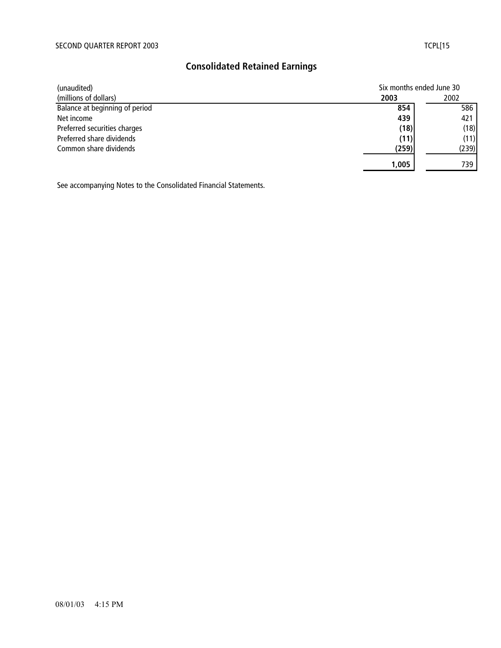# **Consolidated Retained Earnings**

| (unaudited)                    | Six months ended June 30 |       |  |
|--------------------------------|--------------------------|-------|--|
| (millions of dollars)          | 2002<br>2003             |       |  |
| Balance at beginning of period | 854                      | 586   |  |
| Net income                     | 439                      | 421   |  |
| Preferred securities charges   | (18)                     | (18)  |  |
| Preferred share dividends      | (11)                     | (11)  |  |
| Common share dividends         | (259)                    | (239) |  |
|                                | 1,005                    | 739.  |  |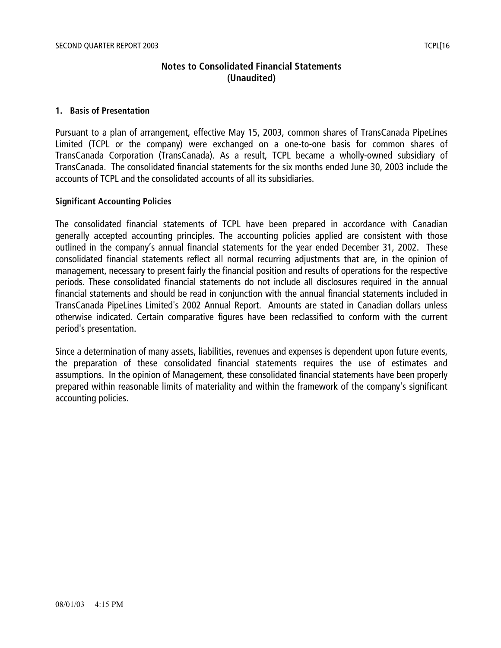# **Notes to Consolidated Financial Statements (Unaudited)**

#### **1. Basis of Presentation**

Pursuant to a plan of arrangement, effective May 15, 2003, common shares of TransCanada PipeLines Limited (TCPL or the company) were exchanged on a one-to-one basis for common shares of TransCanada Corporation (TransCanada). As a result, TCPL became a wholly-owned subsidiary of TransCanada. The consolidated financial statements for the six months ended June 30, 2003 include the accounts of TCPL and the consolidated accounts of all its subsidiaries.

#### **Significant Accounting Policies**

The consolidated financial statements of TCPL have been prepared in accordance with Canadian generally accepted accounting principles. The accounting policies applied are consistent with those outlined in the company's annual financial statements for the year ended December 31, 2002. These consolidated financial statements reflect all normal recurring adjustments that are, in the opinion of management, necessary to present fairly the financial position and results of operations for the respective periods. These consolidated financial statements do not include all disclosures required in the annual financial statements and should be read in conjunction with the annual financial statements included in TransCanada PipeLines Limited's 2002 Annual Report. Amounts are stated in Canadian dollars unless otherwise indicated. Certain comparative figures have been reclassified to conform with the current period's presentation.

Since a determination of many assets, liabilities, revenues and expenses is dependent upon future events, the preparation of these consolidated financial statements requires the use of estimates and assumptions. In the opinion of Management, these consolidated financial statements have been properly prepared within reasonable limits of materiality and within the framework of the company's significant accounting policies.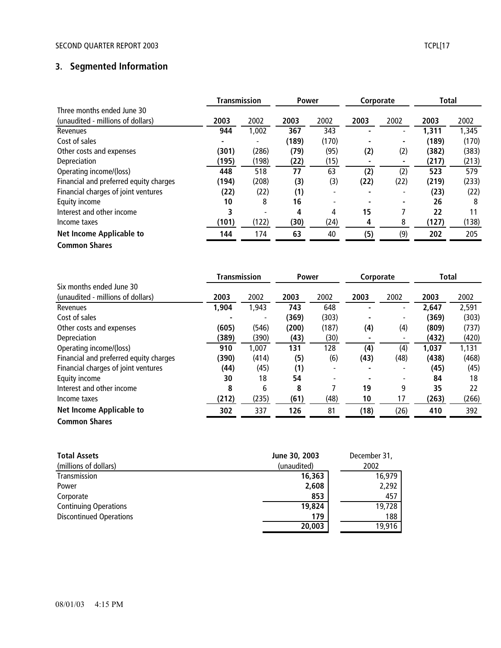## SECOND QUARTER REPORT 2003 TCPL 2003

# **3. Segmented Information**

|                                        | <b>Transmission</b> |                | <b>Power</b> |       | Corporate |                          | Total |       |
|----------------------------------------|---------------------|----------------|--------------|-------|-----------|--------------------------|-------|-------|
| Three months ended June 30             |                     |                |              |       |           |                          |       |       |
| (unaudited - millions of dollars)      | 2003                | 2002           | 2003         | 2002  | 2003      | 2002                     | 2003  | 2002  |
| Revenues                               | 944                 | 1,002          | 367          | 343   |           |                          | 1,311 | 1,345 |
| Cost of sales                          | ۰                   | $\blacksquare$ | (189)        | (170) |           | $\overline{\phantom{a}}$ | (189) | (170) |
| Other costs and expenses               | (301)               | (286)          | (79)         | (95)  | (2)       | (2)                      | (382) | (383) |
| Depreciation                           | (195)               | (198)          | (22)         | (15)  |           |                          | (217) | (213) |
| Operating income/(loss)                | 448                 | 518            | 77           | 63    | (2)       | (2)                      | 523   | 579   |
| Financial and preferred equity charges | (194)               | (208)          | (3)          | (3)   | (22)      | (22)                     | (219) | (233) |
| Financial charges of joint ventures    | (22)                | (22)           | (1)          |       |           |                          | (23)  | (22)  |
| Equity income                          | 10                  | 8              | 16           |       |           |                          | 26    | 8     |
| Interest and other income              | 3                   |                | 4            | 4     | 15        |                          | 22    | 11    |
| Income taxes                           | (101)               | (122)          | (30)         | (24)  | 4         | 8                        | (127) | (138) |
| Net Income Applicable to               | 144                 | 174            | 63           | 40    | (5)       | (9)                      | 202   | 205   |
| <b>Common Shares</b>                   |                     |                |              |       |           |                          |       |       |

|                                        | <b>Transmission</b> |       | <b>Power</b> |                          | Corporate |      | <b>Total</b> |       |
|----------------------------------------|---------------------|-------|--------------|--------------------------|-----------|------|--------------|-------|
| Six months ended June 30               |                     |       |              |                          |           |      |              |       |
| (unaudited - millions of dollars)      | 2003                | 2002  | 2003         | 2002                     | 2003      | 2002 | 2003         | 2002  |
| Revenues                               | 1,904               | 1,943 | 743          | 648                      |           | -    | 2,647        | 2,591 |
| Cost of sales                          |                     |       | (369)        | (303)                    |           |      | (369)        | (303) |
| Other costs and expenses               | (605)               | (546) | (200)        | (187)                    | (4)       | (4)  | (809)        | (737) |
| Depreciation                           | (389)               | (390) | (43)         | (30)                     |           |      | (432)        | (420) |
| Operating income/(loss)                | 910                 | 1,007 | 131          | 128                      | (4)       | (4)  | 1,037        | 1,131 |
| Financial and preferred equity charges | (390)               | (414) | (5)          | (6)                      | (43)      | (48) | (438)        | (468) |
| Financial charges of joint ventures    | (44)                | (45)  | (1)          | -                        |           |      | (45)         | (45)  |
| Equity income                          | 30                  | 18    | 54           | $\overline{\phantom{0}}$ |           | -    | 84           | 18    |
| Interest and other income              | 8                   | 6     | 8            |                          | 19        | 9    | 35           | 22    |
| Income taxes                           | (212)               | (235) | (61)         | (48)                     | 10        | 17   | (263)        | (266) |
| Net Income Applicable to               | 302                 | 337   | 126          | 81                       | (18)      | (26) | 410          | 392   |
| <b>Common Shares</b>                   |                     |       |              |                          |           |      |              |       |

| <b>Total Assets</b>            | June 30, 2003 | December 31, |
|--------------------------------|---------------|--------------|
| (millions of dollars)          | (unaudited)   | 2002         |
| Transmission                   | 16,363        | 16,979       |
| Power                          | 2,608         | 2,292        |
| Corporate                      | 853           | 457          |
| <b>Continuing Operations</b>   | 19,824        | 19,728       |
| <b>Discontinued Operations</b> | 179           | 188          |
|                                | 20,003        | 19,916       |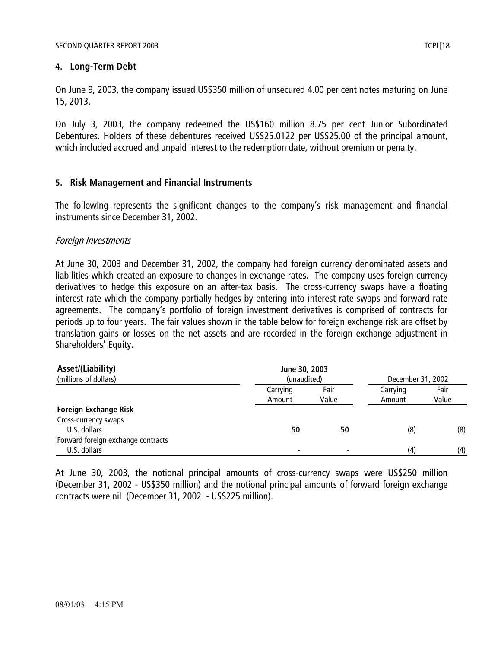## **4. Long-Term Debt**

On June 9, 2003, the company issued US\$350 million of unsecured 4.00 per cent notes maturing on June 15, 2013.

On July 3, 2003, the company redeemed the US\$160 million 8.75 per cent Junior Subordinated Debentures. Holders of these debentures received US\$25.0122 per US\$25.00 of the principal amount, which included accrued and unpaid interest to the redemption date, without premium or penalty.

## **5. Risk Management and Financial Instruments**

The following represents the significant changes to the company's risk management and financial instruments since December 31, 2002.

## Foreign Investments

At June 30, 2003 and December 31, 2002, the company had foreign currency denominated assets and liabilities which created an exposure to changes in exchange rates. The company uses foreign currency derivatives to hedge this exposure on an after-tax basis. The cross-currency swaps have a floating interest rate which the company partially hedges by entering into interest rate swaps and forward rate agreements. The company's portfolio of foreign investment derivatives is comprised of contracts for periods up to four years. The fair values shown in the table below for foreign exchange risk are offset by translation gains or losses on the net assets and are recorded in the foreign exchange adjustment in Shareholders' Equity.

| Asset/(Liability)                  | June 30, 2003 |       |                   |       |  |
|------------------------------------|---------------|-------|-------------------|-------|--|
| (millions of dollars)              | (unaudited)   |       | December 31, 2002 |       |  |
|                                    | Carrying      | Fair  | Carrying          | Fair  |  |
|                                    | Amount        | Value | Amount            | Value |  |
| <b>Foreign Exchange Risk</b>       |               |       |                   |       |  |
| Cross-currency swaps               |               |       |                   |       |  |
| U.S. dollars                       | 50            | 50    | (8)               | (8)   |  |
| Forward foreign exchange contracts |               |       |                   |       |  |
| U.S. dollars                       |               |       | (4)               | (4)   |  |

At June 30, 2003, the notional principal amounts of cross-currency swaps were US\$250 million (December 31, 2002 - US\$350 million) and the notional principal amounts of forward foreign exchange contracts were nil (December 31, 2002 - US\$225 million).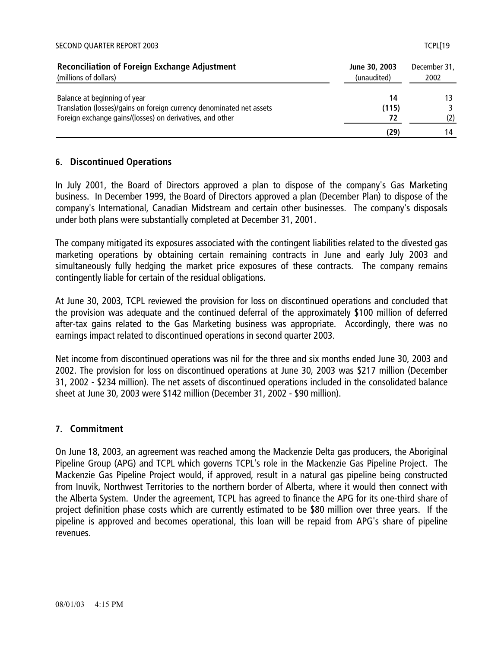#### SECOND QUARTER REPORT 2003 TCPL[19

| <b>Reconciliation of Foreign Exchange Adjustment</b><br>(millions of dollars) | June 30, 2003<br>(unaudited) | December 31,<br>2002 |
|-------------------------------------------------------------------------------|------------------------------|----------------------|
| Balance at beginning of year                                                  | 14                           |                      |
| Translation (losses)/gains on foreign currency denominated net assets         | (115)                        |                      |
| Foreign exchange gains/(losses) on derivatives, and other                     |                              | (2)                  |
|                                                                               | (29)                         | 14                   |

### **6. Discontinued Operations**

In July 2001, the Board of Directors approved a plan to dispose of the company's Gas Marketing business. In December 1999, the Board of Directors approved a plan (December Plan) to dispose of the company's International, Canadian Midstream and certain other businesses. The company's disposals under both plans were substantially completed at December 31, 2001.

The company mitigated its exposures associated with the contingent liabilities related to the divested gas marketing operations by obtaining certain remaining contracts in June and early July 2003 and simultaneously fully hedging the market price exposures of these contracts. The company remains contingently liable for certain of the residual obligations.

At June 30, 2003, TCPL reviewed the provision for loss on discontinued operations and concluded that the provision was adequate and the continued deferral of the approximately \$100 million of deferred after-tax gains related to the Gas Marketing business was appropriate. Accordingly, there was no earnings impact related to discontinued operations in second quarter 2003.

Net income from discontinued operations was nil for the three and six months ended June 30, 2003 and 2002. The provision for loss on discontinued operations at June 30, 2003 was \$217 million (December 31, 2002 - \$234 million). The net assets of discontinued operations included in the consolidated balance sheet at June 30, 2003 were \$142 million (December 31, 2002 - \$90 million).

#### **7. Commitment**

On June 18, 2003, an agreement was reached among the Mackenzie Delta gas producers, the Aboriginal Pipeline Group (APG) and TCPL which governs TCPL's role in the Mackenzie Gas Pipeline Project. The Mackenzie Gas Pipeline Project would, if approved, result in a natural gas pipeline being constructed from Inuvik, Northwest Territories to the northern border of Alberta, where it would then connect with the Alberta System. Under the agreement, TCPL has agreed to finance the APG for its one-third share of project definition phase costs which are currently estimated to be \$80 million over three years. If the pipeline is approved and becomes operational, this loan will be repaid from APG's share of pipeline revenues.